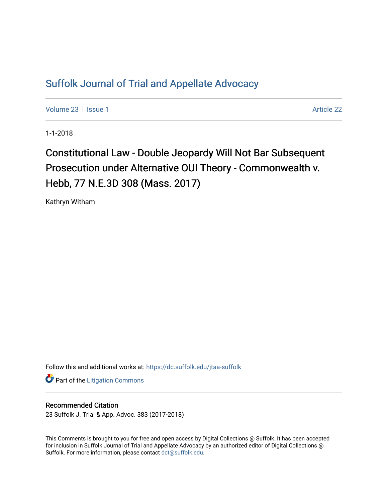## [Suffolk Journal of Trial and Appellate Advocacy](https://dc.suffolk.edu/jtaa-suffolk)

[Volume 23](https://dc.suffolk.edu/jtaa-suffolk/vol23) | [Issue 1](https://dc.suffolk.edu/jtaa-suffolk/vol23/iss1) [Article 22](https://dc.suffolk.edu/jtaa-suffolk/vol23/iss1/22) | Article 22 | Article 22 | Article 22 | Article 22

1-1-2018

Constitutional Law - Double Jeopardy Will Not Bar Subsequent Prosecution under Alternative OUI Theory - Commonwealth v. Hebb, 77 N.E.3D 308 (Mass. 2017)

Kathryn Witham

Follow this and additional works at: [https://dc.suffolk.edu/jtaa-suffolk](https://dc.suffolk.edu/jtaa-suffolk?utm_source=dc.suffolk.edu%2Fjtaa-suffolk%2Fvol23%2Fiss1%2F22&utm_medium=PDF&utm_campaign=PDFCoverPages) 

**Part of the [Litigation Commons](http://network.bepress.com/hgg/discipline/910?utm_source=dc.suffolk.edu%2Fjtaa-suffolk%2Fvol23%2Fiss1%2F22&utm_medium=PDF&utm_campaign=PDFCoverPages)** 

## Recommended Citation

23 Suffolk J. Trial & App. Advoc. 383 (2017-2018)

This Comments is brought to you for free and open access by Digital Collections @ Suffolk. It has been accepted for inclusion in Suffolk Journal of Trial and Appellate Advocacy by an authorized editor of Digital Collections @ Suffolk. For more information, please contact [dct@suffolk.edu.](mailto:dct@suffolk.edu)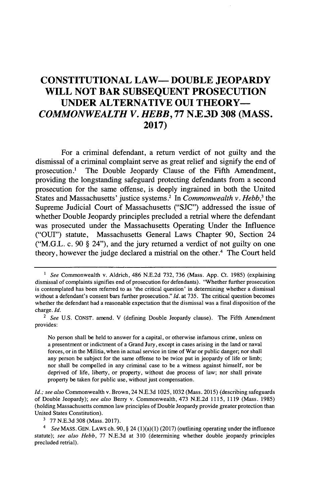## **CONSTITUTIONAL LAW- DOUBLE JEOPARDY WILL NOT BAR SUBSEQUENT PROSECUTION UNDER ALTERNATIVE OUI THEORY-***COMMONWEALTH V. HEBB,* **77 N.E3D 308 (MASS. 2017)**

For a criminal defendant, a return verdict of not guilty and the dismissal of a criminal complaint serve as great relief and signify the end of prosecution.' The Double Jeopardy Clause of the Fifth Amendment, providing the longstanding safeguard protecting defendants from a second prosecution for the same offense, is deeply ingrained in both the United States and Massachusetts' justice systems.? In *Commonwealth v. Hebb,<sup>3</sup>the* Supreme Judicial Court of Massachusetts **("SJC")** addressed the issue of whether Double Jeopardy principles precluded a retrial where the defendant was prosecuted under the Massachusetts Operating Under the Influence **("OUI")** statute, Massachusetts General Laws Chapter **90,** Section 24 ("M.G.L. c. **90 §** 24"), and the jury returned a verdict of not guilty on one theory, however the judge declared a mistrial on the other.' The Court held

No person shall be held to answer for a capital, or otherwise infamous crime, unless on a presentment or indictment of a Grand Jury, except in cases arising in the land or naval forces, or in the Militia, when in actual service in time of War or public danger; nor shall any person be subject for the same offense to be twice put in jeopardy of life or limb; nor shall be compelled in any criminal case to be a witness against himself, nor be deprived of life, liberty, or property, without due process of law; nor shall private property be taken for public use, without just compensation.

*<sup>1</sup> See* Commonwealth v. Aldrich, 486 **N.E.2d 732, 736** (Mass. **App.** Ct. **1985)** (explaining dismissal of complaints signifies end of prosecution for defendants). "Whether further prosecution is contemplated has been referred to as 'the critical question' in determining whether a dismissal without a defendant's consent bars further prosecution." *Id.* at **735.** The critical question becomes whether the defendant had a reasonable expectation that the dismissal was a final disposition of the charge. *Id.*

*<sup>2</sup> See* **U.S. CONST.** amend. V (defining Double Jeopardy clause). The Fifth Amendment provides:

*Id.; see also* Commonwealth v. Brown, 24 **N.E.3d 1025, 1032** (Mass. **2015)** (describing safeguards of Double Jeopardy); *see also* Berry v. Commonwealth, 473 **N.E.2d 1115, 1119** (Mass. **1985)** (holding Massachusetts common law principles of Double Jeopardy provide greater protection than United States Constitution).

**<sup>3 77</sup> N.E.3d 308** (Mass. **2017).**

*<sup>4</sup> See* **MASS. GEN.** LAWS ch. **90, §** 24 (1)(a)(1) **(2017)** (outlining operating under the influence statute); *see also Hebb,* **77 N.E.3d** at **310** (determining whether double jeopardy principles precluded retrial).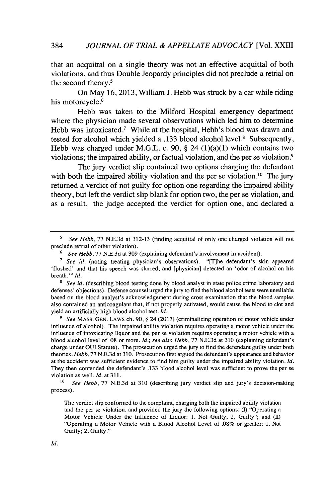that an acquittal on a single theory was not an effective acquittal of both violations, and thus Double Jeopardy principles did not preclude a retrial on the second theory.'

On May **16, 2013,** William **J.** Hebb was struck **by** a car while riding his motorcycle.<sup>6</sup>

Hebb was taken to the Milford Hospital emergency department where the physician made several observations which led him to determine Hebb was intoxicated.<sup>7</sup> While at the hospital, Hebb's blood was drawn and tested for alcohol which yielded a **.133** blood alcohol level.' Subsequently, Hebb was charged under M.G.L. c. **90, §** 24 (1)(a)(1) which contains two violations; the impaired ability, or factual violation, and the per se violation.<sup>9</sup>

The jury verdict slip contained two options charging the defendant with both the impaired ability violation and the per se violation.<sup>10</sup> The jury returned a verdict of not guilty for option one regarding the impaired ability theory, but left the verdict slip blank for option two, the per se violation, and as a result, the judge accepted the verdict for option one, and declared a

*<sup>5</sup>See Hebb,* **77 N.E.3d** at **312-13** (finding acquittal of only one charged violation will not preclude retrial of other violation).

**<sup>6</sup>***See Hebb, 77* **N.E.3d** at **309** (explaining defendant's involvement in accident).

**<sup>7</sup>***See id.* (noting treating physician's observations). "[T]he defendant's skin appeared 'flushed' and that his speech was slurred, and [physician] detected an 'odor of alcohol on his breath."' *Id.*

**<sup>8</sup>***See id.* (describing blood testing done **by** blood analyst in state police crime laboratory and defenses' objections). Defense counsel urged the jury to find the blood alcohol tests were unreliable based on the blood analyst's acknowledgement during cross examination that the blood samples also contained an anticoagulant that, if not properly activated, would cause the blood to clot and yield an artificially high blood alcohol test. *Id.*

*<sup>9</sup>See* **MASS. GEN.** LAWS ch. **90,** *§* 24 **(2017)** (criminalizing operation of motor vehicle under influence of alcohol). The impaired ability violation requires operating a motor vehicle under the influence of intoxicating liquor and the per se violation requires operating a motor vehicle with a blood alcohol level of **.08** or more. *Id.; see also Hebb,* **77 N.E.3d** at **310** (explaining defendant's charge under OUI Statute). The prosecution urged the jury to find the defendant guilty under both theories. *Hebb,77* **N.E.3d** at **310.** Prosecution first argued the defendant's appearance and behavior at the accident was sufficient evidence to find him guilty under the impaired ability violation. *Id.* They then contended the defendant's **.133** blood alcohol level was sufficient to prove the per se violation as well. *Id.* at **311.**

**<sup>10</sup>***See Hebb,* **77 N.E.3d** at **310** (describing jury verdict slip and jury's decision-making process).

The verdict slip conformed to the complaint, charging both the impaired ability violation and the per se violation, and provided the jury the following options: **(1)** "Operating a Motor Vehicle Under the Influence of Liquor: **1.** Not Guilty; 2. Guilty"; and (II) "Operating a Motor Vehicle with a Blood Alcohol Level of **.08%** or greater: **1.** Not Guilty; 2. Guilty."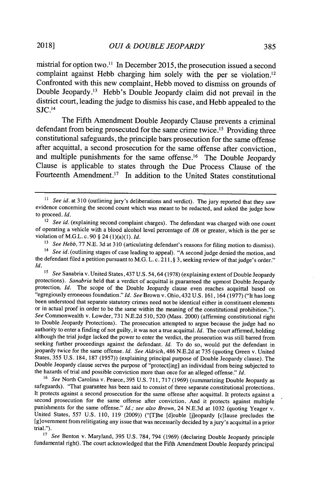mistrial for option two." In December **2015,** the prosecution issued a second complaint against Hebb charging him solely with the per se violation.<sup>12</sup> Confronted with this new complaint, Hebb moved to dismiss on grounds of Double Jeopardy.<sup>13</sup> Hebb's Double Jeopardy claim did not prevail in the district court, leading the judge to dismiss his case, and Hebb appealed to the  $SJC.<sup>14</sup>$ 

The Fifth Amendment Double Jeopardy Clause prevents a criminal defendant from being prosecuted for the same crime twice.<sup>15</sup> Providing three constitutional safeguards, the principle bars prosecution for the same offense after acquittal, a second prosecution for the same offense after conviction, and multiple punishments for the same offense.<sup>16</sup> The Double Jeopardy Clause is applicable to states through the Due Process Clause of the Fourteenth Amendment.<sup>17</sup> In addition to the United States constitutional

*<sup>16</sup>See* North Carolina v. Pearce, **395 U.S. 711, 717 (1969)** (summarizing Double Jeopardy as safeguards). "That guarantee has been said to consist of three separate constitutional protections. It protects against a second prosecution for the same offense after acquittal. It protects against a second prosecution for the same offense after conviction. And it protects against multiple punishments for the same offense." *Id.; see also Brown,* 24 **N.E.3d** at **1032** (quoting Yeager v. United States, **557 U.S. 110, 119 (2009))** ("[T]he [d]ouble [j]eopardy [c]lause precludes the [g]ovemment fromrelitigating any issue that was necessarily decided **by** a jury's acquittal in a prior trial.").

<sup>17</sup> *See* Benton v. Maryland, 395 U.S. 784, 794 (1969) (declaring Double Jeopardy principle fundamental right). The court acknowledged that the Fifth Amendment Double Jeopardy principal

*<sup>11</sup>See id. at* **310** (outlining jury's deliberations and verdict). The jury reported that they saw evidence concerning the second count which was meant to be redacted, and asked the judge how to proceed. *Id.*

<sup>&</sup>lt;sup>12</sup> See id. (explaining second complaint charges). The defendant was charged with one count of operating a vehicle with a blood alcohol level percentage of **.08** or greater, which is the per se violation of M.G.L. c. **90 §** 24 (1)(a)(1). *Id.*

<sup>&</sup>lt;sup>13</sup> *See Hebb, 77 N.E.* 3d at 310 (articulating defendant's reasons for filing motion to dismiss).

*<sup>14</sup> See id.* (outlining stages of case leading to appeal). **"A** second judge denied the motion, and the defendant filed a petition pursuant to **M.G.** L. c. **211, § 3,** seeking review of that judge's order." *Id.*

*<sup>15</sup>See* Sanabria v. United States, 437 **U.S.** 54,64 **(1978)** (explaining extent of Double Jeopardy protections). *Sanabria* held that a verdict of acquittal is guaranteed the upmost Double Jeopardy protection. *Id.* The scope of the Double Jeopardy clause even reaches acquittal based on "egregiously erroneous foundation." *Id. See* Brown v. Ohio, 432 **U.S. 161,** 164 **(1977)** ("It has long been understood that separate statutory crimes need not be identical either in constituent elements or in actual proof in order to be the same within the meaning of the constitutional prohibition."). *See* Commonwealth v. Lowder, **731 NE.2d 510, 520** (Mass. 2000) (affirming constitutional right to Double Jeopardy Protections). The prosecution attempted to argue because the judge had no authority to enter a finding of not guilty, it was not a true acquittal. *Id.* The court affirmed, holding although the trial judge lacked the power to enter the verdict, the prosecution was still barred from seeking further proceedings against the defendant. *Id.* To do so, would put the defendant in jeopardy twice for the same offense. *Id. See Aldrich,* 486 **N.E.2d** at **735** (quoting Green v. United States, **355 U.S.** 184, **187 (1957))** (explaining principal purpose of Double Jeopardy clause). The Double Jeopardy clause serves the purpose of "protect[ing] an individual from being subjected to the hazards of trial and possible conviction more than once for an alleged offense." *Id.*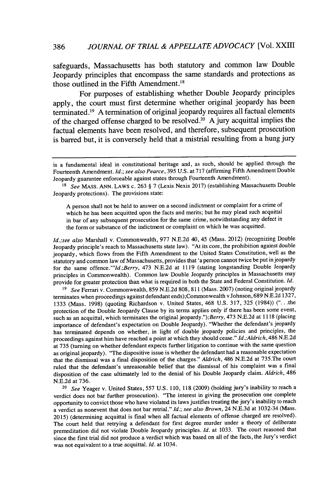safeguards, Massachusetts has both statutory and common law Double Jeopardy principles that encompass the same standards and protections as those outlined in the Fifth Amendment.<sup>18</sup>

For purposes of establishing whether Double Jeopardy principles apply, the court must first determine whether original jeopardy has been terminated.19 **A** termination of original jeopardy requires all factual elements of the charged offense charged to be resolved.<sup>2</sup> <sup>0</sup>**A** jury acquittal implies the factual elements have been resolved, and therefore, subsequent prosecution is barred but, it is conversely held that a mistrial resulting from a hung jury

**A** person shall not be held to answer on a second indictment or complaint for a crime of which he has been acquitted upon the facts and merits; but he may plead such acquittal in bar of any subsequent prosecution for the same crime, notwithstanding any defect in the form or substance of the indictment or complaint on which he was acquitted.

*Id.;see also* Marshall v. Commonwealth, **977 N.E.2d** 40, 45 (Mass. 2012) (recognizing Double Jeopardy principle's reach to Massachusetts state law). "At its core, the prohibition against double jeopardy, which flows from the Fifth Amendment to the United States Constitution, well as the statutory and common law of Massachusetts, provides that 'a person cannot twice be put in jeopardy for the same *offence."'Id.;Berry,* 473 **N.E.2d** at **1119** (stating longstanding Double Jeopardy principles in Commonwealth). Common law Double Jeopardy principles in Massachusetts may provide for greater protection than what is required in both the State and Federal Constitution. *Id.*

*<sup>19</sup>See* Ferrari v. Commonwealth, **859 N.E.2d 808,811** (Mass. **2007)** (noting original jeopardy terminates when proceedings against defendant ends);Commonwealth v Johnson, **689 N.E.2d 1327, 1333** (Mass. **1998)** (quoting Richardson v. United States, 468 **U.S. 317, 325** (1984)) **(". .** the protection of the Double Jeopardy Clause **by** its terms applies only if there has been some event, such as an acquittal, which terminates the original jeopardy.");Berry, 473 **N.E.2d** at **1118** (placing importance of defendant's expectation on Double Jeopardy). "Whether the defendant's jeopardy has terminated depends on whether, in light of double jeopardy policies and principles, the proceedings against him have reached a point at which they should cease." *Id.;Aldrich,* 486 **NE.2d** at **735** (turning on whether defendant expects further litigation to continue with the same question as original jeopardy). "The dispositive issue is whether the defendant had a reasonable expectation that the dismissal was a final disposition of the charges." *Aldrich,* 486 **N.E.2d** at 735.The court ruled that the defendant's unreasonable belief that the dismissal of his complaint was a final disposition of the case ultimately led to the denial of his Double Jeopardy claim. *Aldrich, 486* **N.E.2d** at **736.**

*<sup>20</sup>See* Yeager v. United States, **557 U.S. 110, 118 (2009)** (holding jury's inability to reach a verdict does not bar further prosecution). "The interest in giving the prosecution one complete opportunity to convict those who have violated its laws justifies treating the jury's inability to reach a verdict as nonevent that does not bar retrial." *Id.; see also Brown,* 24 **N.E.3d** at 1032-34 (Mass. **2015)** (determining acquittal is final when all factual elements of offense charged are resolved). The court held that retrying a defendant for first degree murder under a theory of deliberate premeditation did not violate Double Jeopardy principles. *Id.* at **1033.** The court reasoned that since the first trial did not produce a verdict which was based on all of the facts, the Jury's verdict was not equivalent to a true acquittal. *Id.* at 1034.

is a fundamental ideal in constitutional heritage and, as such, should be applied through the Fourteenth Amendment. *Id.; see also Pearce,* **395 U.S.** at **717** (affirming Fifth Amendment Double Jeopardy guarantee enforceable against states through Fourteenth Amendment).

**<sup>18</sup>***See* MASS. **ANN.** LAWS c. **263** *§* **7** (Lexis Nexis **2017)** (establishing Massachusetts Double Jeopardy protections). The provisions state: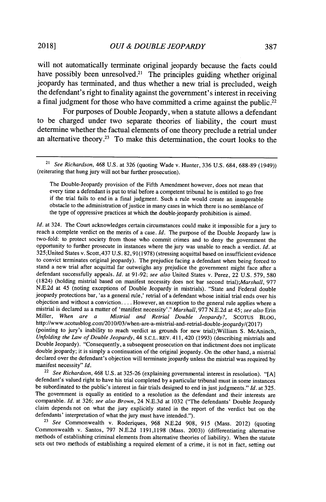will not automatically terminate original jeopardy because the facts could have possibly been unresolved.<sup>21</sup> The principles guiding whether original jeopardy has terminated, and thus whether a new trial is precluded, weigh the defendant's right to finality against the government's interest in receiving a final judgment for those who have committed a crime against the public.<sup> $22$ </sup>

For purposes of Double Jeopardy, when a statute allows a defendant to be charged under two separate theories of liability, the court must determine whether the factual elements of one theory preclude a retrial under an alternative theory.<sup>23</sup> To make this determination, the court looks to the

*Id.* at 324. The Court acknowledges certain circumstances could make it impossible for a jury to reach a complete verdict on the merits of a case. *Id.* The purpose of the Double Jeopardy law is two-fold: to protect society from those who commit crimes and to deny the government the opportunity to further prosecute in instances where the jury was unable to reach a verdict. *Id.* at 325;United States v. Scott, 437 **U.S. 82, 91(1978)** (stressing acquittal based on insufficient evidence to convict terminates original jeopardy). The prejudice facing a defendant when being forced to stand a new trial after acquittal far outweighs any prejudice the government might face after a defendant successfully appeals. *Id.* at **91-92;** *see also* United States v. Perez, 22 **U.S. 579, 580** (1824) (holding mistrial based on manifest necessity does not bar second *trial)\*Marshall,* **977 N.E.2d** at 45 (noting exceptions of Double Jeopardy in mistrials). "State and Federal double jeopardy protections bar, 'as a general rule,' retrial of a defendant whose initial trial ends over his objection and without a conviction.... However, an exception to the general rule applies where a mistrial is declared as a matter of 'manifest necessity'." *Marshall,* **977 N.E.2d** at 45; *see also* Erin Mistrial and Retrial Double Jeopardy?, SCOTUS BLOG, http://www.scotusblog.com/2010/03/when-are-a-mistrial-and-retrial-double-jeopardy/(2017) (pointing to jury's inability to reach verdict as grounds for new trial);William **S.** McAninch, *Unfolding the Law of Double Jeopardy,* 44 **S.C.L. REV.** 411, 420 **(1993)** (describing mistrials and Double Jeopardy). "Consequently, a subsequent prosecution on that indictment does not implicate double jeopardy; it is simply a continuation of the original jeopardy. On the other hand, a mistrial declared over the defendant's objection will terminate jeopardy unless the mistrial was required **by**

manifest necessity" *Id.*

**<sup>22</sup>***See Richardson,* 468 **U.S.** at **325-26** (explaining governmental interest in resolution). **"[A]** defendant's valued right to have his trial completed **by** a particular tribunal must in some instances be subordinated to the public's interest in fair trials designed to end in just judgments." *Id.* at **325.** The government is equally as entitled to a resolution as the defendant and their interests are comparable. *Id.* at **326;** *see also Brown,* 24 **N.E.3d** at **1032** ("The defendants' Double Jeopardy claim depends not on what the jury explicitly stated in the report of the verdict but on the defendants' interpretation of what the jury must have intended.").

*<sup>23</sup>See* Commonwealth v. Roderiques, **968 N.E.2d 908, 915** (Mass. 2012) (quoting Commonwealth v. Santos, **797 N.E.2d 1191,1198** (Mass. **2003))** (differentiating alternative methods of establishing criminal elements from alternative theories of liability). When the statute sets out two methods of establishing a required element of a crime, it is not in fact, setting out

*<sup>21</sup>See Richardson,* 468 **U.S.** at **326** (quoting Wade v. Hunter, **336 U.S.** 684, **688-89** (1949)) (reiterating that hung jury will not bar further prosecution).

The Double-Jeopardy provision of the Fifth Amendment however, does not mean that every time a defendant is put to trial before a competent tribunal he is entitled to go free if the trial fails to end in a final judgment. Such a rule would create an insuperable obstacle to the administration of justice in many cases in which there is no semblance of the type of oppressive practices at which the double-jeopardy prohibition is aimed.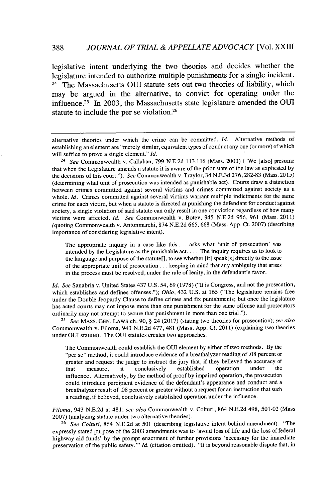legislative intent underlying the two theories and decides whether the legislature intended to authorize multiple punishments for a single incident. <sup>24</sup> The Massachusetts OUI statute sets out two theories of liability, which may be argued in the alternative, to convict for operating under the influence.<sup>25</sup> In 2003, the Massachusetts state legislature amended the OUI statute to include the per se violation **.26**

<sup>24</sup>*See* Commonwealth v. Callahan, **799 N.E.2d 113,116** (Mass. **2003)** ("We [also] presume that when the Legislature amends a statute it is aware of the prior state of the law as explicated **by** the decisions of this court."). *See* Commonwealth v. Traylor, 34 **N.E.3d 276, 282-83** (Mass. **2015)** (determining what unit of prosecution was intended as punishable act). Courts draw a distinction between crimes committed against several victims and crimes committed against society as a whole. *Id.* Crimes committed against several victims warrant multiple indictments for the same crime for each victim, but when a statute is directed at punishing the defendant for conduct against society, a single violation of said statute can only result in one conviction regardless of how many victims were affected. *Id. See* Commonwealth v. Botev, 945 **N.E.2d 956, 961** (Mass. **2011)** (quoting Commonwealth v. Antonmarchi, **874 N.E.2d 665, 668** (Mass. **App.** Ct. **2007)** (describing importance of considering legislative intent).

The appropriate inquiry in a case like this **. . .** asks what 'unit of prosecution' was intended **by** the Legislature as the punishable **act....** The inquiry requires us to look to the language and purpose of the statute[], to see whether [it] speak[s] directly to the issue of the appropriate unit of prosecution **...** keeping in mind that any ambiguity that arises in the process must be resolved, under the rule of lenity, in the defendant's favor.

*Id. See* Sanabria v. United States 437 **U.S.** 54, **69 (1978)** ("It is Congress, and not the prosecution, which establishes and defines offenses."); *Ohio,* 432 **U.S.** at **165** ("The legislature remains free under the Double Jeopardy Clause to define crimes and fix punishments; but once the legislature has acted courts may not impose more than one punishment for the same offense and prosecutors ordinarily may not attempt to secure that punishment in more than one trial.").

**<sup>25</sup>***See* **MASS. GEN.** LAWS ch. **90,** *§* 24 **(2017)** (stating two theories for prosecution); *see also* Commonwealth v. Filoma, 943 **N.E.2d 477,** 481 (Mass. **App.** Ct. **2011)** (explaining two theories under OUI statute). The OUI statutes creates two approaches:

The Commonwealth could establish the **OUI** element **by** either of two methods. **By** the "per se" method, it could introduce evidence of a breathalyzer reading of **.08** percent or greater and request the judge to instruct the jury that, if they believed the accuracy of that measure, it conclusively established operation under the conclusively influence. Alternatively, **by** the method of proof **by** impaired operation, the prosecution could introduce percipient evidence of the defendant's appearance and conduct and a breathalyzer result of **.08** percent or greater without a request for an instruction that such a reading, if believed, conclusively established operation under the influence.

*Filoma,* 943 **N.E.2d** at 481; *see also* Commonwealth v. Colturi, 864 **N.E.2d** 498, **501-02** (Mass **2007)** (analyzing statute under two alternative theories).

**<sup>26</sup>***See Colturi,* 864 **N.E.2d** at **501** (describing legislative intent behind amendment). "The expressly stated purpose of the **2003** amendments was to 'avoid loss of life and the loss of federal highway aid funds' **by** the prompt enactment of further provisions 'necessary for the immediate preservation of the public safety."' *Id.* (citation omitted). "It is beyond reasonable dispute that, in

alternative theories under which the crime can be committed. *Id.* Alternative methods of establishing an element are "merely similar, equivalent types of conduct any one (or more) of which will suffice to prove a single element." *Id.*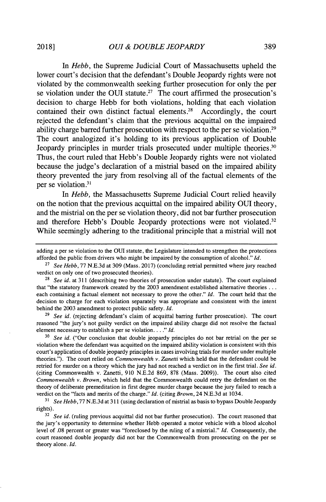*In Hebb,* the Supreme Judicial Court of Massachusetts upheld the lower court's decision that the defendant's Double Jeopardy rights were not violated **by** the commonwealth seeking further prosecution for only the per se violation under the OUI statute.<sup>27</sup> The court affirmed the prosecution's decision to charge Hebb for both violations, holding that each violation contained their own distinct factual elements.<sup>28</sup> Accordingly, the court rejected the defendant's claim that the previous acquittal on the impaired ability charge barred further prosecution with respect to the per se violation.<sup>29</sup> The court analogized it's holding to its previous application of Double Jeopardy principles in murder trials prosecuted under multiple theories.<sup>30</sup> Thus, the court ruled that Hebb's Double Jeopardy rights were not violated because the judge's declaration of a mistrial based on the impaired ability theory prevented the jury from resolving all of the factual elements of the per se violation.<sup>31</sup>

*In Hebb,* the Massachusetts Supreme Judicial Court relied heavily on the notion that the previous acquittal on the impaired ability OUI theory, and the mistrial on the per se violation theory, did not bar further prosecution and therefore Hebb's Double Jeopardy protections were not violated.<sup>32</sup> While seemingly adhering to the traditional principle that a mistrial will not

**<sup>29</sup>***See id.* (rejecting defendant's claim of acquittal barring further prosecution). The court reasoned "the jury's not guilty verdict on the impaired ability charge did not resolve the factual element necessary to establish a per se violation. **. .** *." Id.*

<sup>30</sup> See id. ("Our conclusion that double jeopardy principles do not bar retrial on the per se violation where the defendant was acquitted on the impaired ability violation is consistent with this court's application of double jeopardy principles in cases involving trials for murder under multiple theories."). The court relied on *Commonwealth v. Zanetti* which held that the defendant could be retried for murder on a theory which the jury had not reached a verdict on in the first trial. *See id.* (citing Commonwealth v. Zanetti, **910 N.E.2d 869, 878** (Mass. **2009)).** The court also cited *Commonwealth v. Brown,* which held that the Commonwealth could retry the defendant on the theory of deliberate premeditation in first degree murder charge because the jury failed to reach a verdict on the "facts and merits of the charge." *Id.* (citing *Brown,* 24 **N.E.3d** at 1034.

<sup>31</sup>*See Hebb,* **77 N.E.3d** at **311** (using declaration of mistrial as basis to bypass Double Jeopardy rights).

<sup>32</sup> See id. (ruling previous acquittal did not bar further prosecution). The court reasoned that the jury's opportunity to determine whether Hebb operated a motor vehicle with a blood alcohol level of **.08** percent or greater was "foreclosed **by** the ruling of a mistrial." *Id.* Consequently, the court reasoned double jeopardy did not bar the Commonwealth from prosecuting on the per se theory alone. *Id.*

adding a per se violation to the **OUI** statute, the Legislature intended to strengthen the protections afforded the public from drivers who might be impaired **by** the consumption of alcohol." *Id.*

<sup>27</sup>*See Hebb,* **77 N.E.3d** at **309** (Mass. **2017)** (concluding retrial permitted where jury reached verdict on only one of two prosecuted theories).

**<sup>28</sup>***See id.* at **311** (describing two theories of prosecution under statute). The court explained that "the statutory framework created **by** the **2003** amendment established alternative theories **...** each containing a factual element not necessary to prove the other." *Id.* The court held that the decision to charge for each violation separately was appropriate and consistent with the intent behind the **2003** amendment to protect public safety. *Id.*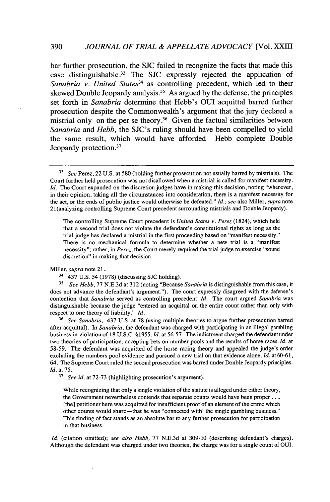bar further prosecution, the **SJC** failed to recognize the facts that made this case distinguishable.<sup>33</sup> The SJC expressly rejected the application of Sanabria v. United States<sup>34</sup> as controlling precedent, which led to their skewed Double Jeopardy analysis.<sup>35</sup> As argued by the defense, the principles set forth in *Sanabria* determine that Hebb's OUJI acquittal barred further prosecution despite the Commonwealth's argument that the jury declared a mistrial only on the per se theory.<sup>36</sup> Given the factual similarities between *Sanabria and Hebb,* the SJC's ruling should have been compelled to yield the same result, which would have afforded Hebb complete Double Jeopardy protection.<sup>37</sup>

The controlling Supreme Court precedent is *United States v. Perez* (1824), which held that a second trial does not violate the defendant's constitutional rights as long as the trial judge has declared a mistrial in the first proceeding based on "manifest necessity." There is no mechanical formula to determine whether a new trial is a "manifest necessity"; rather, in *Perez,* the Court merely required the trial judge to exercise "sound discretion" in making that decision.

*Miller, supra* note 21..

**<sup>3</sup>***See Hebb,* **77 N.E.3d** at **312** (noting "Because *Sanabria* is distinguishable from this case, it does not advance the defendant's argument."). The court expressly disagreed with the defense's contention that *Sanabria* served as controlling precedent. *Id.* The court argued *Sanabria* was distinguishable because the judge "entered an acquittal on the entire count rather than only with respect to one theory of liability." *Id.*

**<sup>36</sup>***See Sanabria,* 437 **U.S.** at **78** (using multiple theories to argue further prosecution barred after acquittal). In *Sanabria,* the defendant was charged with participating in an illegal gambling business in violation of **18 U.S.C. §1955.** *Id.* at **56-57.** The indictment charged the defendantunder two theories of participation: accepting bets on number pools and the results of horse races. *Id.* at **58-59.** The defendant was acquitted of the horse racing theory and appealed the judge's order excluding the numbers pool evidence and pursued a new trial on that evidence alone. *Id.* at **60-61,** 64. The Supreme Court ruled the second prosecution was barred under Double Jeopardy principles. *Id.* at **75.**

**<sup>37</sup>***See id.* at **72-73** (highlighting prosecution's argument).

While recognizing that only a single violation of the statute is alleged under either theory, the Government nevertheless contends that separate counts would have been proper **. . ..** [the] petitioner here was acquitted for insufficient proof of an element of the crime which other counts would share-that he was "connected with' the single gambling business." This finding of fact stands as an absolute bar to any further prosecution for participation in that business.

*Id.* (citation omitted); *see also Hebb,* **77 N.E.3d** at **309-10** (describing defendant's charges). Although the defendant was charged under two theories, the charge was for a single count of OUI.

*<sup>3</sup> See* Perez, 22 **U.S.** *at* **580** (holding further prosecution not usually barred **by** mistrials). The Court further held prosecution was not disallowed when a mistrial is called for manifest necessity. *Id.* The Court expanded on the discretion judges have in making this decision, noting "whenever, in their opinion, taking all the circumstances into consideration, there is a manifest necessity for the act, or the ends of public justice would otherwise be defeated." *Id.; see* also Miller, *supra note* 21(analyzing controlling Supreme Court precedent surrounding mistrials and Double Jeopardy).

<sup>34</sup>437 **U.S.** 54 **(1978)** (discussing **SJC** holding).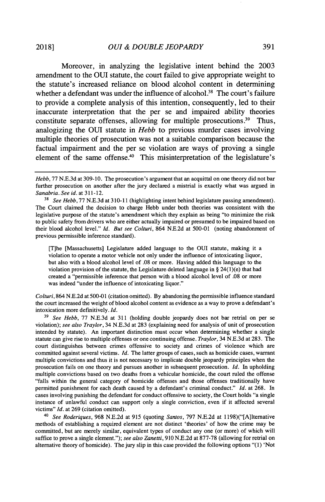Moreover, in analyzing the legislative intent behind the **2003** amendment to the **OUI** statute, the court failed to give appropriate weight to the statute's increased reliance on blood alcohol content in determining whether a defendant was under the influence of alcohol.<sup>38</sup> The court's failure to provide a complete analysis of this intention, consequently, led to their inaccurate interpretation that the per se and impaired ability theories constitute separate offenses, allowing for multiple prosecutions.<sup>39</sup> Thus, analogizing the **OUI** statute in *Hebb* to previous murder cases involving multiple theories of prosecution was not a suitable comparison because the factual impairment and the per se violation are ways of proving a single element of the same offense.<sup>40</sup> This misinterpretation of the legislature's

[T]he [Massachusetts] Legislature added language to the **OUI** statute, making it a violation to operate a motor vehicle not only under the influence of intoxicating liquor, but also with a blood alcohol level of **.08** or more. Having added this language to the violation provision of the statute, the Legislature deleted language in **§** 24(1)(e) that had created a "permissible inference that person with a blood alcohol level of **.08** or more was indeed "under the influence of intoxicating liquor."

Colturi, 864 **N.E.2d** at **500-01** (citation omitted). **By** abandoning the permissible influence standard the court increased the weight of blood alcohol content as evidence as a way to prove a defendant's intoxication more definitively. *Id.*

<sup>3</sup>*See Hebb,* **77 NE.3d** at **311** (holding double jeopardy does not bar retrial on per se violation); *see also Traylor,* 34 **N.E.3d** at **283** (explaining need for analysis of unit of prosecution intended **by** statute). An important distinction must occur when determining whether a single statute can give rise to multiple offenses or one continuing offense. *Traylor,* 34 **N.E.3d** at **283.** The court distinguishes between crimes offensive to society and crimes of violence which are committed against several victims. *Id.* The latter groups of cases, such as homicide cases, warrant multiple convictions and thus it is not necessary to implicate double jeopardy principles when the prosecution fails on one theory and pursues another in subsequent prosecution. *Id.* In upholding multiple convictions based on two deaths from a vehicular homicide, the court ruled the offense "falls within the general category of homicide offenses and those offenses traditionally have permitted punishment for each death caused **by** a defendant's criminal conduct." *Id.* at **268.** In cases involving punishing the defendant for conduct offensive **to** society, the Court holds "a single instance of unlawful conduct can support only a single conviction, even if it affected several victims" *Id.* at **269** (citation omitted).

<sup>40</sup>*See Roderiques,* **968 N.E.2d** at **915** (quoting *Santos,* **797 N.E.2d** at 1198)("[A]ltemative methods of establishing a required element are not distinct 'theories' of how the crime may be committed, but are merely similar, equivalent types of conduct any one (or more) of which will suffice to prove a single element."); *see also Zanetti,* **910 NE.2d** at **877-78** (allowing for retrial on alternative theory of homicide). The jury slip in this case provided the following options **"(1)** 'Not

*Hebb,* **77 N.E.3d** at **309-10.** The prosecution's argument that an acquittal on one theory did not bar further prosecution on another after the jury declared a mistrial is exactly what was argued in *Sanabria. See id.* at **311-12.**

<sup>3</sup>*See Hebb,* **77 N.E.3d** at **310-11** (highlighting intent behind legislature passing amendment). The Court claimed the decision to charge Hebb under both theories was consistent with the legislative purpose of the statute's amendment which they explain as being "to minimize the risk to public safety from drivers who are either actually impaired or presumed to be impaired based on their blood alcohol level." *Id. But see Colturi,* 864 **N.E.2d** at **500-01** (noting abandonment of previous permissible inference standard).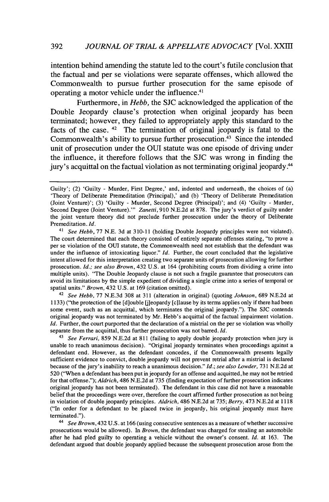intention behind amending the statute led to the court's futile conclusion that the factual and per se violations were separate offenses, which allowed the Commonwealth to pursue further prosecution for the same episode of operating a motor vehicle under the influence.<sup>41</sup>

Furthermore, in *Hebb,* the **SJC** acknowledged the application of the Double Jeopardy clause's protection when original jeopardy has been terminated; however, they failed to appropriately apply this standard to the facts of the case.  $42$  The termination of original jeopardy is fatal to the Commonwealth's ability to pursue further prosecution.<sup>43</sup> Since the intended unit of prosecution under the **OUI** statute was one episode of driving under the influence, it therefore follows that the **SJC** was wrong in finding the jury's acquittal on the factual violation as not terminating original jeopardy.<sup>44</sup>

<sup>42</sup>*See Hebb,* **77 N.E.3d 308** at **311** (alteration in original) (quoting *Johnson,* **689 N.E.2d** at **1133)** ("the protection of the [diouble [j]eopardy [c1lause **by** its terms applies only if there had been some event, such as an acquittal, which terminates the original jeopardy."). The **SJC** contends original jeopardy was not terminated **by** Mr. Hebb's acquittal of the factual impairment violation. *Id.* Further, the court purported that the declaration of a mistrial on the per se violation was wholly separate from the acquittal, thus further prosecution was not barred. *Id.*

<sup>43</sup>*See Ferrari,* **859 N.E.2d** at **811** (failing to apply double jeopardy protection when jury is unable to reach unanimous decision). "Original jeopardy terminates when proceedings against a defendant end. However, as the defendant concedes, if the Commonwealth presents legally sufficient evidence to convict, double jeopardy will not prevent retrial after a mistrial is declared because of the jury's inability to reach a unanimous decision." *Id.; see also Lowder,* **731 N.E.2d** at **520** ("When a defendant has been put in jeopardy for an offense and acquitted, he may not be retried for that offense."); *Aldrich,* 486 **N.E.2d** at **735** (finding expectation of further prosecution indicates original jeopardy has not been terminated). The defendant in this case did not have a reasonable belief that the proceedings were over, therefore the court affirmed further prosecution as not being in violation of double jeopardy principles. *Aldrich,* 486 **N.E.2d** at **735;** *Berry,* 473 **N.E.2d** at **1118** ("In order for a defendant to be placed twice in jeopardy, his original jeopardy must have terminated.").

*4 See Brown,* 432 **U.S.** at **166** (using consecutive sentences as a measure of whether successive prosecutions would be allowed). In *Brown,* the defendant was charged for stealing an automobile after he had pled guilty to operating a vehicle without the owner's consent. *Id.* at **163.** The defendant argued that double jeopardy applied because the subsequent prosecution arose from the

Guilty'; (2) 'Guilty - Murder, First Degree,' and, indented and underneath, the choices of (a) 'Theory of Deliberate Premeditation (Principal),' and **(b)** 'Theory of Deliberate Premeditation (Joint Venture)'; **(3)** 'Guilty **-** Murder, Second Degree (Principal)'; and (4) 'Guilty **-** Murder, Second Degree (Joint Venture)." Zanetti, 910 N.E.2d at 878. The jury's verdict of guilty under the joint venture theory did not preclude further prosecution under the theory of Deliberate Premeditation. *Id.*

<sup>41</sup>*See Hebb,* **77 N.E. 3d** at **310-11** (holding Double Jeopardy principles were not violated). The court determined that each theory consisted of entirely separate offenses stating, "to prove a per se violation of the OUI statute, the Commonwealth need not establish that the defendant was under the influence of intoxicating liquor." *Id.* Further, the court concluded that the legislative intent allowed for this interpretation creating two separate units of prosecution allowing for further prosecution. *Id.; see also Brown,* 432 **U.S.** at 164 (prohibiting courts from dividing a crime into multiple units). "The Double Jeopardy clause is not such a fragile guarantee that prosecutors can avoid its limitations **by** the simple expedient of dividing a single crime into a series of temporal or spatial units." *Brown,* 432 **U.S.** at **169** (citation omitted).